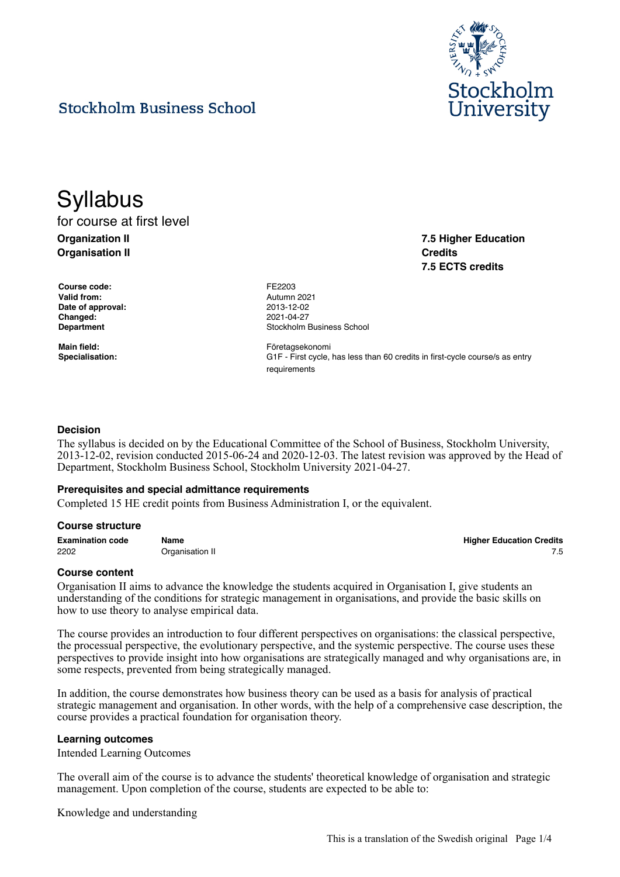

**7.5 Higher Education**

**7.5 ECTS credits**

**Credits**

# **Stockholm Business School**

**Syllabus** for course at first level **Organization II**

**Organisation II**

**Course code:** FE2203 **Valid from:** Autumn 2021 **Date of approval:** 2013-12-02 **Changed:** 2021-04-27

**Department Constanting Constanting Constanting Constanting Constanting Constanting Constanting Constanting Constanting Constanting Constanting Constanting Constanting Constanting Constanting Constanting Constanting Cons** 

**Main field:** Företagsekonomi **Specialisation:** G1F - First cycle, has less than 60 credits in first-cycle course/s as entry requirements

#### **Decision**

The syllabus is decided on by the Educational Committee of the School of Business, Stockholm University, 2013-12-02, revision conducted 2015-06-24 and 2020-12-03. The latest revision was approved by the Head of Department, Stockholm Business School, Stockholm University 2021-04-27.

#### **Prerequisites and special admittance requirements**

Completed 15 HE credit points from Business Administration I, or the equivalent.

#### **Course structure**

| <b>Examination code</b> | Name            | <b>Higher Education Credits</b> |
|-------------------------|-----------------|---------------------------------|
| 2202                    | Organisation II |                                 |

#### **Course content**

Organisation II aims to advance the knowledge the students acquired in Organisation I, give students an understanding of the conditions for strategic management in organisations, and provide the basic skills on how to use theory to analyse empirical data.

The course provides an introduction to four different perspectives on organisations: the classical perspective, the processual perspective, the evolutionary perspective, and the systemic perspective. The course uses these perspectives to provide insight into how organisations are strategically managed and why organisations are, in some respects, prevented from being strategically managed.

In addition, the course demonstrates how business theory can be used as a basis for analysis of practical strategic management and organisation. In other words, with the help of a comprehensive case description, the course provides a practical foundation for organisation theory.

#### **Learning outcomes**

Intended Learning Outcomes

The overall aim of the course is to advance the students' theoretical knowledge of organisation and strategic management. Upon completion of the course, students are expected to be able to:

Knowledge and understanding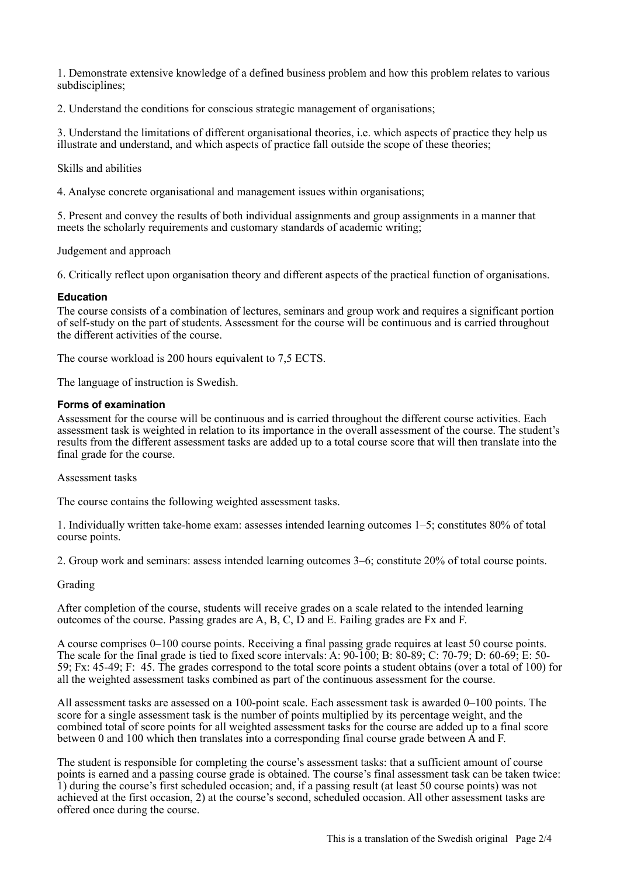1. Demonstrate extensive knowledge of a defined business problem and how this problem relates to various subdisciplines;

2. Understand the conditions for conscious strategic management of organisations;

3. Understand the limitations of different organisational theories, i.e. which aspects of practice they help us illustrate and understand, and which aspects of practice fall outside the scope of these theories;

Skills and abilities

4. Analyse concrete organisational and management issues within organisations;

5. Present and convey the results of both individual assignments and group assignments in a manner that meets the scholarly requirements and customary standards of academic writing;

Judgement and approach

6. Critically reflect upon organisation theory and different aspects of the practical function of organisations.

## **Education**

The course consists of a combination of lectures, seminars and group work and requires a significant portion of self-study on the part of students. Assessment for the course will be continuous and is carried throughout the different activities of the course.

The course workload is 200 hours equivalent to 7,5 ECTS.

The language of instruction is Swedish.

# **Forms of examination**

Assessment for the course will be continuous and is carried throughout the different course activities. Each assessment task is weighted in relation to its importance in the overall assessment of the course. The student's results from the different assessment tasks are added up to a total course score that will then translate into the final grade for the course.

Assessment tasks

The course contains the following weighted assessment tasks.

1. Individually written take-home exam: assesses intended learning outcomes 1–5; constitutes 80% of total course points.

2. Group work and seminars: assess intended learning outcomes 3–6; constitute 20% of total course points.

# Grading

After completion of the course, students will receive grades on a scale related to the intended learning outcomes of the course. Passing grades are A, B, C, D and E. Failing grades are Fx and F.

A course comprises 0–100 course points. Receiving a final passing grade requires at least 50 course points. The scale for the final grade is tied to fixed score intervals: A: 90-100; B: 80-89; C: 70-79; D: 60-69; E: 50- 59; Fx: 45-49; F: 45. The grades correspond to the total score points a student obtains (over a total of 100) for all the weighted assessment tasks combined as part of the continuous assessment for the course.

All assessment tasks are assessed on a 100-point scale. Each assessment task is awarded 0–100 points. The score for a single assessment task is the number of points multiplied by its percentage weight, and the combined total of score points for all weighted assessment tasks for the course are added up to a final score between 0 and 100 which then translates into a corresponding final course grade between A and F.

The student is responsible for completing the course's assessment tasks: that a sufficient amount of course points is earned and a passing course grade is obtained. The course's final assessment task can be taken twice: 1) during the course's first scheduled occasion; and, if a passing result (at least 50 course points) was not achieved at the first occasion, 2) at the course's second, scheduled occasion. All other assessment tasks are offered once during the course.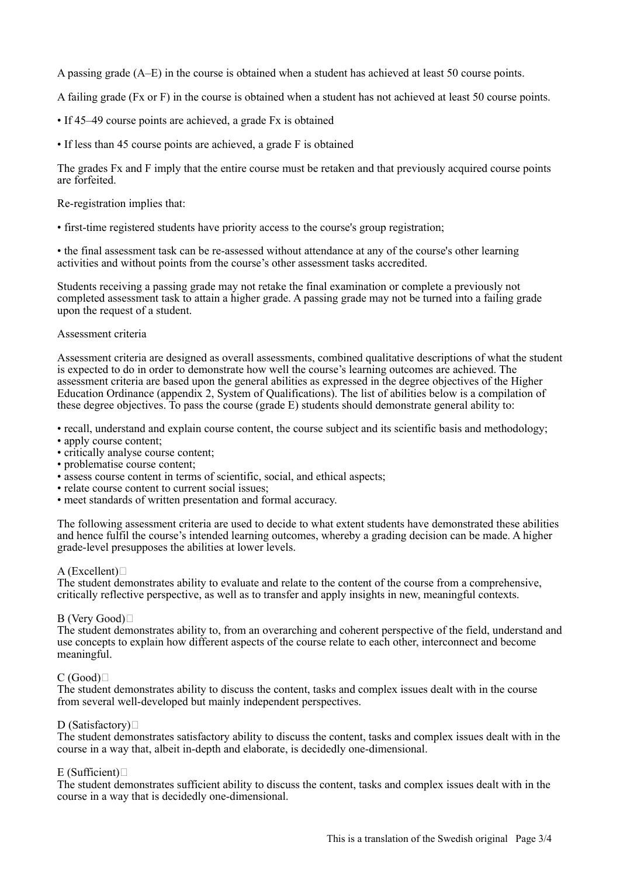A passing grade (A–E) in the course is obtained when a student has achieved at least 50 course points.

A failing grade (Fx or F) in the course is obtained when a student has not achieved at least 50 course points.

- If 45–49 course points are achieved, a grade Fx is obtained
- If less than 45 course points are achieved, a grade F is obtained

The grades Fx and F imply that the entire course must be retaken and that previously acquired course points are forfeited.

Re-registration implies that:

• first-time registered students have priority access to the course's group registration;

• the final assessment task can be re-assessed without attendance at any of the course's other learning activities and without points from the course's other assessment tasks accredited.

Students receiving a passing grade may not retake the final examination or complete a previously not completed assessment task to attain a higher grade. A passing grade may not be turned into a failing grade upon the request of a student.

#### Assessment criteria

Assessment criteria are designed as overall assessments, combined qualitative descriptions of what the student is expected to do in order to demonstrate how well the course's learning outcomes are achieved. The assessment criteria are based upon the general abilities as expressed in the degree objectives of the Higher Education Ordinance (appendix 2, System of Qualifications). The list of abilities below is a compilation of these degree objectives. To pass the course (grade E) students should demonstrate general ability to:

• recall, understand and explain course content, the course subject and its scientific basis and methodology;

- apply course content;
- critically analyse course content;
- problematise course content;
- assess course content in terms of scientific, social, and ethical aspects;
- relate course content to current social issues:
- meet standards of written presentation and formal accuracy.

The following assessment criteria are used to decide to what extent students have demonstrated these abilities and hence fulfil the course's intended learning outcomes, whereby a grading decision can be made. A higher grade-level presupposes the abilities at lower levels.

#### A (Excellent) $\Box$

The student demonstrates ability to evaluate and relate to the content of the course from a comprehensive, critically reflective perspective, as well as to transfer and apply insights in new, meaningful contexts.

#### B (Very Good)

The student demonstrates ability to, from an overarching and coherent perspective of the field, understand and use concepts to explain how different aspects of the course relate to each other, interconnect and become meaningful.

# $C(Good)$

The student demonstrates ability to discuss the content, tasks and complex issues dealt with in the course from several well-developed but mainly independent perspectives.

#### D (Satisfactory) $\Box$

The student demonstrates satisfactory ability to discuss the content, tasks and complex issues dealt with in the course in a way that, albeit in-depth and elaborate, is decidedly one-dimensional.

# $E$  (Sufficient) $\neg$

The student demonstrates sufficient ability to discuss the content, tasks and complex issues dealt with in the course in a way that is decidedly one-dimensional.